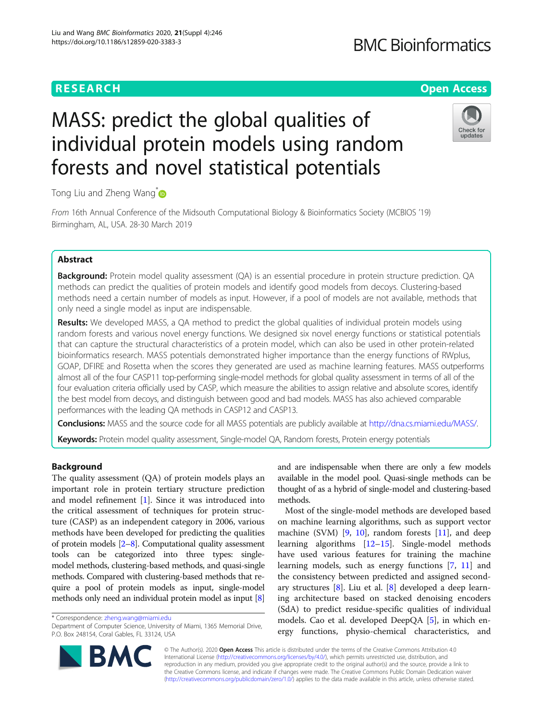# **RESEARCH CHEAR CHEAR CHEAR CHEAR CHEAR CHEAP CONTROL**

# **BMC Bioinformatics**

Check for updates

# MASS: predict the global qualities of individual protein models using random forests and novel statistical potentials

Tong Liu and Zheng Wang<sup>\*</sup>

From 16th Annual Conference of the Midsouth Computational Biology & Bioinformatics Society (MCBIOS '19) Birmingham, AL, USA. 28-30 March 2019

# Abstract

**Background:** Protein model quality assessment (QA) is an essential procedure in protein structure prediction. QA methods can predict the qualities of protein models and identify good models from decoys. Clustering-based methods need a certain number of models as input. However, if a pool of models are not available, methods that only need a single model as input are indispensable.

Results: We developed MASS, a QA method to predict the global qualities of individual protein models using random forests and various novel energy functions. We designed six novel energy functions or statistical potentials that can capture the structural characteristics of a protein model, which can also be used in other protein-related bioinformatics research. MASS potentials demonstrated higher importance than the energy functions of RWplus, GOAP, DFIRE and Rosetta when the scores they generated are used as machine learning features. MASS outperforms almost all of the four CASP11 top-performing single-model methods for global quality assessment in terms of all of the four evaluation criteria officially used by CASP, which measure the abilities to assign relative and absolute scores, identify the best model from decoys, and distinguish between good and bad models. MASS has also achieved comparable performances with the leading QA methods in CASP12 and CASP13.

Conclusions: MASS and the source code for all MASS potentials are publicly available at [http://dna.cs.miami.edu/MASS/.](http://dna.cs.miami.edu/MASS/)

Keywords: Protein model quality assessment, Single-model QA, Random forests, Protein energy potentials

# Background

The quality assessment (QA) of protein models plays an important role in protein tertiary structure prediction and model refinement [[1\]](#page-8-0). Since it was introduced into the critical assessment of techniques for protein structure (CASP) as an independent category in 2006, various methods have been developed for predicting the qualities of protein models [[2](#page-8-0)–[8\]](#page-8-0). Computational quality assessment tools can be categorized into three types: singlemodel methods, clustering-based methods, and quasi-single methods. Compared with clustering-based methods that require a pool of protein models as input, single-model methods only need an individual protein model as input [[8](#page-8-0)]

and are indispensable when there are only a few models available in the model pool. Quasi-single methods can be thought of as a hybrid of single-model and clustering-based methods.

Most of the single-model methods are developed based on machine learning algorithms, such as support vector machine (SVM)  $[9, 10]$  $[9, 10]$  $[9, 10]$  $[9, 10]$ , random forests  $[11]$  $[11]$ , and deep learning algorithms [[12](#page-8-0)–[15](#page-8-0)]. Single-model methods have used various features for training the machine learning models, such as energy functions [[7,](#page-8-0) [11\]](#page-8-0) and the consistency between predicted and assigned secondary structures [[8](#page-8-0)]. Liu et al. [[8\]](#page-8-0) developed a deep learning architecture based on stacked denoising encoders (SdA) to predict residue-specific qualities of individual models. Cao et al. developed DeepQA [\[5](#page-8-0)], in which energy functions, physio-chemical characteristics, and



© The Author(s). 2020 **Open Access** This article is distributed under the terms of the Creative Commons Attribution 4.0 International License [\(http://creativecommons.org/licenses/by/4.0/](http://creativecommons.org/licenses/by/4.0/)), which permits unrestricted use, distribution, and reproduction in any medium, provided you give appropriate credit to the original author(s) and the source, provide a link to the Creative Commons license, and indicate if changes were made. The Creative Commons Public Domain Dedication waiver [\(http://creativecommons.org/publicdomain/zero/1.0/](http://creativecommons.org/publicdomain/zero/1.0/)) applies to the data made available in this article, unless otherwise stated.

<sup>\*</sup> Correspondence: [zheng.wang@miami.edu](mailto:zheng.wang@miami.edu)

Department of Computer Science, University of Miami, 1365 Memorial Drive, P.O. Box 248154, Coral Gables, FL 33124, USA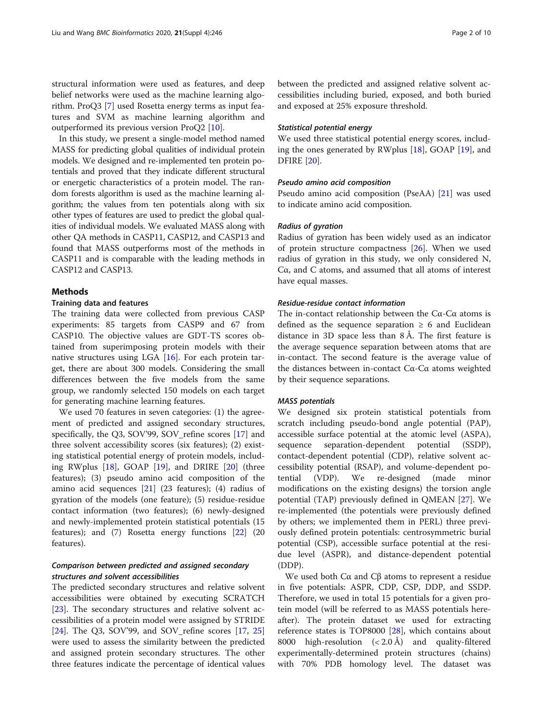structural information were used as features, and deep belief networks were used as the machine learning algorithm. ProQ3 [[7\]](#page-8-0) used Rosetta energy terms as input features and SVM as machine learning algorithm and outperformed its previous version ProQ2 [\[10](#page-8-0)].

In this study, we present a single-model method named MASS for predicting global qualities of individual protein models. We designed and re-implemented ten protein potentials and proved that they indicate different structural or energetic characteristics of a protein model. The random forests algorithm is used as the machine learning algorithm; the values from ten potentials along with six other types of features are used to predict the global qualities of individual models. We evaluated MASS along with other QA methods in CASP11, CASP12, and CASP13 and found that MASS outperforms most of the methods in CASP11 and is comparable with the leading methods in CASP12 and CASP13.

### **Methods**

## Training data and features

The training data were collected from previous CASP experiments: 85 targets from CASP9 and 67 from CASP10. The objective values are GDT-TS scores obtained from superimposing protein models with their native structures using LGA [[16](#page-8-0)]. For each protein target, there are about 300 models. Considering the small differences between the five models from the same group, we randomly selected 150 models on each target for generating machine learning features.

We used 70 features in seven categories: (1) the agreement of predicted and assigned secondary structures, specifically, the Q3, SOV'99, SOV\_refine scores [\[17](#page-8-0)] and three solvent accessibility scores (six features); (2) existing statistical potential energy of protein models, including RWplus [[18](#page-8-0)], GOAP [[19](#page-8-0)], and DRIRE [\[20](#page-8-0)] (three features); (3) pseudo amino acid composition of the amino acid sequences [\[21\]](#page-8-0) (23 features); (4) radius of gyration of the models (one feature); (5) residue-residue contact information (two features); (6) newly-designed and newly-implemented protein statistical potentials (15 features); and (7) Rosetta energy functions [[22\]](#page-8-0) (20 features).

# Comparison between predicted and assigned secondary structures and solvent accessibilities

The predicted secondary structures and relative solvent accessibilities were obtained by executing SCRATCH [[23\]](#page-8-0). The secondary structures and relative solvent accessibilities of a protein model were assigned by STRIDE [[24\]](#page-9-0). The Q3, SOV'99, and SOV\_refine scores [\[17,](#page-8-0) [25](#page-9-0)] were used to assess the similarity between the predicted and assigned protein secondary structures. The other three features indicate the percentage of identical values between the predicted and assigned relative solvent accessibilities including buried, exposed, and both buried and exposed at 25% exposure threshold.

# Statistical potential energy

We used three statistical potential energy scores, including the ones generated by RWplus [\[18](#page-8-0)], GOAP [\[19](#page-8-0)], and DFIRE [[20\]](#page-8-0).

# Pseudo amino acid composition

Pseudo amino acid composition (PseAA) [[21\]](#page-8-0) was used to indicate amino acid composition.

#### Radius of gyration

Radius of gyration has been widely used as an indicator of protein structure compactness [[26\]](#page-9-0). When we used radius of gyration in this study, we only considered N, Cα, and C atoms, and assumed that all atoms of interest have equal masses.

# Residue-residue contact information

The in-contact relationship between the  $C\alpha$ -C $\alpha$  atoms is defined as the sequence separation  $\geq 6$  and Euclidean distance in 3D space less than 8 Å. The first feature is the average sequence separation between atoms that are in-contact. The second feature is the average value of the distances between in-contact Cα-Cα atoms weighted by their sequence separations.

#### MASS potentials

We designed six protein statistical potentials from scratch including pseudo-bond angle potential (PAP), accessible surface potential at the atomic level (ASPA), sequence separation-dependent potential (SSDP), contact-dependent potential (CDP), relative solvent accessibility potential (RSAP), and volume-dependent potential (VDP). We re-designed (made minor modifications on the existing designs) the torsion angle potential (TAP) previously defined in QMEAN [[27\]](#page-9-0). We re-implemented (the potentials were previously defined by others; we implemented them in PERL) three previously defined protein potentials: centrosymmetric burial potential (CSP), accessible surface potential at the residue level (ASPR), and distance-dependent potential (DDP).

We used both Cα and Cβ atoms to represent a residue in five potentials: ASPR, CDP, CSP, DDP, and SSDP. Therefore, we used in total 15 potentials for a given protein model (will be referred to as MASS potentials hereafter). The protein dataset we used for extracting reference states is TOP8000 [[28\]](#page-9-0), which contains about 8000 high-resolution (< 2.0 Å) and quality-filtered experimentally-determined protein structures (chains) with 70% PDB homology level. The dataset was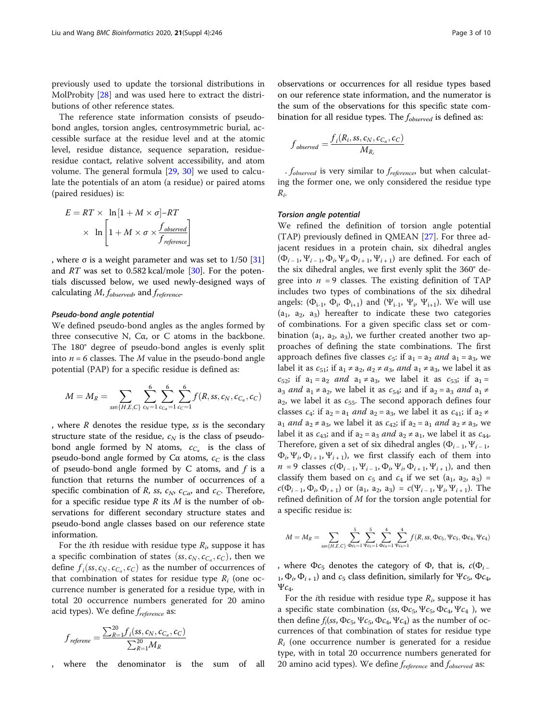previously used to update the torsional distributions in MolProbity [[28](#page-9-0)] and was used here to extract the distributions of other reference states.

The reference state information consists of pseudobond angles, torsion angles, centrosymmetric burial, accessible surface at the residue level and at the atomic level, residue distance, sequence separation, residueresidue contact, relative solvent accessibility, and atom volume. The general formula [[29](#page-9-0), [30\]](#page-9-0) we used to calculate the potentials of an atom (a residue) or paired atoms (paired residues) is:

$$
E = RT \times \ln[1 + M \times \sigma] - RT
$$

$$
\times \ln\left[1 + M \times \sigma \times \frac{f_{observed}}{f_{reference}}\right]
$$

, where  $\sigma$  is a weight parameter and was set to 1/50 [[31](#page-9-0)] and  $RT$  was set to 0.582 kcal/mole [[30](#page-9-0)]. For the potentials discussed below, we used newly-designed ways of calculating  $M$ ,  $f_{observed}$ , and  $f_{reference}$ .

#### Pseudo-bond angle potential

We defined pseudo-bond angles as the angles formed by three consecutive N, Cα, or C atoms in the backbone. The 180° degree of pseudo-bond angles is evenly split into  $n=6$  classes. The M value in the pseudo-bond angle potential (PAP) for a specific residue is defined as:

$$
M = M_R = \sum_{ss \in \{H,E,C\}} \sum_{c_N=1}^{6} \sum_{c_{Ca} = 1}^{6} \sum_{c_C=1}^{6} f(R,ss,c_N,c_{Ca},c_C)
$$

, where  *denotes the residue type,*  $*ss*$  *is the secondary* structure state of the residue,  $c_N$  is the class of pseudobond angle formed by N atoms,  $c_{C_\alpha}$  is the class of pseudo-bond angle formed by C $\alpha$  atoms,  $c_C$  is the class of pseudo-bond angle formed by  $C$  atoms, and  $f$  is a function that returns the number of occurrences of a specific combination of R, ss,  $c_N$ ,  $c_{C\alpha}$ , and  $c_C$ . Therefore, for a specific residue type  $R$  its  $M$  is the number of observations for different secondary structure states and pseudo-bond angle classes based on our reference state information.

For the *i*th residue with residue type  $R_i$ , suppose it has a specific combination of states  $(s, c_N, c_{C_\alpha}, c_C)$ , then we define  $f_i$ (ss,  $c_N$ ,  $c_{C_\alpha}$ ,  $c_C$ ) as the number of occurrences of that combination of states for residuo type  $P_i$  (and oc that combination of states for residue type  $R_i$  (one occurrence number is generated for a residue type, with in total 20 occurrence numbers generated for 20 amino acid types). We define  $f_{reference}$  as:

$$
f_{reference} = \frac{\sum_{R=1}^{20} f_i(s_{S}, c_{N}, c_{C_{\alpha}}, c_{C})}{\sum_{R=1}^{20} M_{R}}
$$

where the denominator is the sum of all

observations or occurrences for all residue types based on our reference state information, and the numerator is the sum of the observations for this specific state combination for all residue types. The  $f_{observed}$  is defined as:

$$
f_{observed} = \frac{f_i(R_i, ss, c_N, c_{C_\alpha}, c_C)}{M_{R_i}}
$$

 $.$   $f_{observed}$  is very similar to  $f_{reference}$ , but when calculating the former one, we only considered the residue type  $R_i$ .

#### Torsion angle potential

We refined the definition of torsion angle potential (TAP) previously defined in QMEAN [[27](#page-9-0)]. For three adjacent residues in a protein chain, six dihedral angles  $(\Phi_{i-1}, \Psi_{i-1}, \Phi_i, \Psi_i, \Phi_{i+1}, \Psi_{i+1})$  are defined. For each of the six dihedral angles, we first evenly split the 360° degree into  $n = 9$  classes. The existing definition of TAP includes two types of combinations of the six dihedral angels:  $(\Phi_{i-1}, \Phi_i, \Phi_{i+1})$  and  $(\Psi_{i-1}, \Psi_i, \Psi_{i+1})$ . We will use  $(a_1, a_2, a_3)$  hereafter to indicate these two categories of combinations. For a given specific class set or combination ( $a_1$ ,  $a_2$ ,  $a_3$ ), we further created another two approaches of defining the state combinations. The first approach defines five classes  $c_5$ : if  $a_1 = a_2$  and  $a_1 = a_3$ , we label it as  $c_{51}$ ; if  $a_1 \neq a_2$ ,  $a_2 \neq a_3$ , and  $a_1 \neq a_3$ , we label it as  $c_{52}$ ; if  $a_1 = a_2$  and  $a_1 \neq a_3$ , we label it as  $c_{53}$ ; if  $a_1 =$  $a_3$  *and*  $a_1 \neq a_2$ , we label it as  $c_{54}$ ; and if  $a_2 = a_3$  *and*  $a_1 \neq a_2$  $a_2$ , we label it as  $c_{55}$ . The second apporach defines four classes  $c_4$ : if  $a_2 = a_1$  and  $a_2 = a_3$ , we label it as  $c_{41}$ ; if  $a_2 \neq$  $a_1$  and  $a_2 \neq a_3$ , we label it as  $c_{42}$ ; if  $a_2 = a_1$  and  $a_2 \neq a_3$ , we label it as  $c_{43}$ ; and if  $a_2 = a_3$  and  $a_2 \neq a_1$ , we label it as  $c_{44}$ . Therefore, given a set of six dihedral angles ( $\Phi_{i-1}$ ,  $\Psi_{i-1}$ ,  $\Phi_i$ ,  $\Psi_i$ ,  $\Phi_{i+1}$ ,  $\Psi_{i+1}$ ), we first classify each of them into  $n = 9$  classes  $c(\Phi_{i-1}, \Psi_{i-1}, \Phi_i, \Psi_i, \Phi_{i+1}, \Psi_{i+1})$ , and then classify them based on  $c_5$  and  $c_4$  if we set (a<sub>1</sub>, a<sub>2</sub>, a<sub>3</sub>) =  $c(\Phi_{i-1}, \Phi_i, \Phi_{i+1})$  or  $(a_1, a_2, a_3) = c(\Psi_{i-1}, \Psi_i, \Psi_{i+1})$ . The refined definition of M for the torsion angle potential for a specific residue is:

$$
M = M_R = \sum_{\mathit{ss}\in\{H,E,C\}} \sum_{\Phi c_5 = 1}^5 \sum_{\Psi c_5 = 1}^5 \sum_{\Phi c_4 = 1}^4 \sum_{\Psi c_4 = 1}^4 f(R, \mathit{ss}, \Phi c_5, \Psi c_5, \Phi c_4, \Psi c_4)
$$

, where  $\Phi c_5$  denotes the category of  $\Phi$ , that is,  $c(\Phi_{i-1})$  $_1$ ,  $\Phi_i$ ,  $\Phi_{i+1}$ ) and  $c_5$  class definition, similarly for  $\Psi c_5$ ,  $\Phi c_4$ ,  $\Psi c_4$ .

For the *i*th residue with residue type  $R_i$ , suppose it has a specific state combination (ss,  $\Phi c_5$ ,  $\Psi c_5$ ,  $\Phi c_4$ ,  $\Psi c_4$ ), we then define  $f_i$ (ss,  $\Phi c_5$ ,  $\Psi c_5$ ,  $\Phi c_4$ ,  $\Psi c_4$ ) as the number of occurrences of that combination of states for residue type  $R_i$  (one occurrence number is generated for a residue type, with in total 20 occurrence numbers generated for 20 amino acid types). We define  $f_{reference}$  and  $f_{observed}$  as: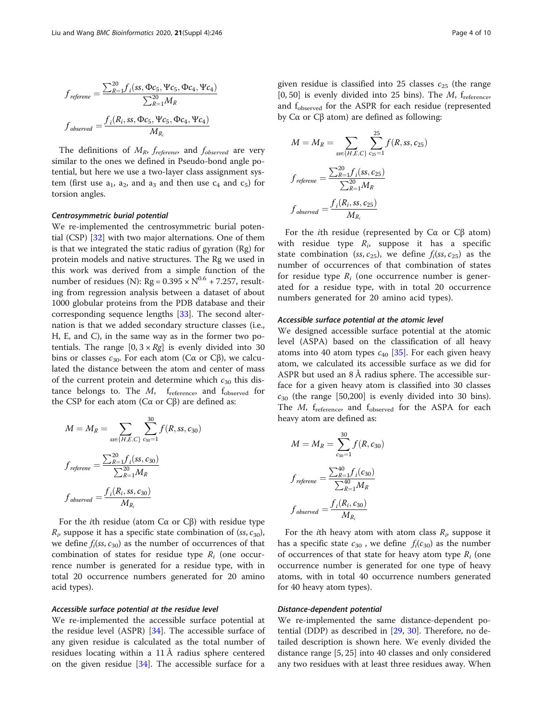$$
f_{reference} = \frac{\sum_{R=1}^{20} f_i(ss, \Phi c_5, \Psi c_5, \Phi c_4, \Psi c_4)}{\sum_{R=1}^{20} M_R}
$$

$$
f_{observed} = \frac{f_i(R_i, ss, \Phi c_5, \Psi c_5, \Phi c_4, \Psi c_4)}{M_{R_i}}
$$

The definitions of  $M_R$ ,  $f_{reference}$ , and  $f_{observed}$  are very similar to the ones we defined in Pseudo-bond angle potential, but here we use a two-layer class assignment system (first use  $a_1$ ,  $a_2$ , and  $a_3$  and then use  $c_4$  and  $c_5$ ) for torsion angles.

#### Centrosymmetric burial potential

We re-implemented the centrosymmetric burial potential (CSP) [\[32](#page-9-0)] with two major alternations. One of them is that we integrated the static radius of gyration (Rg) for protein models and native structures. The Rg we used in this work was derived from a simple function of the number of residues (N):  $Rg = 0.395 \times N^{0.6} + 7.257$ , resulting from regression analysis between a dataset of about 1000 globular proteins from the PDB database and their corresponding sequence lengths [\[33\]](#page-9-0). The second alternation is that we added secondary structure classes (i.e., H, E, and C), in the same way as in the former two potentials. The range  $[0, 3 \times Rg]$  is evenly divided into 30 bins or classes  $c_{30}$ . For each atom (Cα or Cβ), we calculated the distance between the atom and center of mass of the current protein and determine which  $c_{30}$  this distance belongs to. The  $M$ ,  $f_{reference}$ , and  $f_{observed}$  for the CSP for each atom ( $Cα$  or  $Cβ$ ) are defined as:

$$
M = M_R = \sum_{ss \in \{H, E, C\}} \sum_{c_{30} = 1}^{30} f(R, ss, c_{30})
$$

$$
f_{reference} = \frac{\sum_{R=1}^{20} f_i(ss, c_{30})}{\sum_{R=1}^{20} M_R}
$$

$$
f_{observed} = \frac{f_i(R_i, ss, c_{30})}{M_{R_i}}
$$

For the ith residue (atom Cα or Cβ) with residue type  $R_i$ , suppose it has a specific state combination of  $(ss, c_{30})$ , we define  $f_i$ (ss,  $c_{30}$ ) as the number of occurrences of that combination of states for residue type  $R_i$  (one occurrence number is generated for a residue type, with in total 20 occurrence numbers generated for 20 amino acid types).

#### Accessible surface potential at the residue level

We re-implemented the accessible surface potential at the residue level (ASPR) [\[34](#page-9-0)]. The accessible surface of any given residue is calculated as the total number of residues locating within a 11 Å radius sphere centered on the given residue [\[34\]](#page-9-0). The accessible surface for a

given residue is classified into 25 classes  $c_{25}$  (the range [0, 50] is evenly divided into 25 bins). The  $M$ ,  $f_{reference}$ and f<sub>observed</sub> for the ASPR for each residue (represented by Cα or Cβ atom) are defined as following:

$$
M = M_R = \sum_{\substack{\text{ss} \in \{H, E, C\}}}\sum_{c_2=1}^{25} f(R, \text{ss}, c_25)
$$

$$
f_{\text{reference}} = \frac{\sum_{R=1}^{20} f_i(\text{ss}, c_25)}{\sum_{R=1}^{20} M_R}
$$

$$
f_{\text{observed}} = \frac{f_i(R_i, \text{ss}, c_25)}{M_{R_i}}
$$

For the *i*th residue (represented by  $C\alpha$  or  $C\beta$  atom) with residue type  $R_i$ , suppose it has a specific state combination (ss,  $c_{25}$ ), we define  $f_i(ss, c_{25})$  as the number of occurrences of that combination of states for residue type  $R_i$  (one occurrence number is generated for a residue type, with in total 20 occurrence numbers generated for 20 amino acid types).

#### Accessible surface potential at the atomic level

We designed accessible surface potential at the atomic level (ASPA) based on the classification of all heavy atoms into 40 atom types  $c_{40}$  [[35](#page-9-0)]. For each given heavy atom, we calculated its accessible surface as we did for ASPR but used an 8 Å radius sphere. The accessible surface for a given heavy atom is classified into 30 classes  $c_{30}$  (the range [50,200] is evenly divided into 30 bins). The  $M$ ,  $f_{reference}$ , and  $f_{observed}$  for the ASPA for each heavy atom are defined as:

$$
M = M_R = \sum_{c_{30}=1}^{30} f(R, c_{30})
$$

$$
f_{reference} = \frac{\sum_{R=1}^{40} f_i(c_{30})}{\sum_{R=1}^{40} M_R}
$$

$$
f_{observed} = \frac{f_i(R_i, c_{30})}{M_{R_i}}
$$

For the *i*th heavy atom with atom class  $R_i$ , suppose it has a specific state  $c_{30}$ , we define  $f_i(c_{30})$  as the number of occurrences of that state for heavy atom type  $R_i$  (one occurrence number is generated for one type of heavy atoms, with in total 40 occurrence numbers generated for 40 heavy atom types).

#### Distance-dependent potential

We re-implemented the same distance-dependent potential (DDP) as described in [[29](#page-9-0), [30\]](#page-9-0). Therefore, no detailed description is shown here. We evenly divided the distance range [5, 25] into 40 classes and only considered any two residues with at least three residues away. When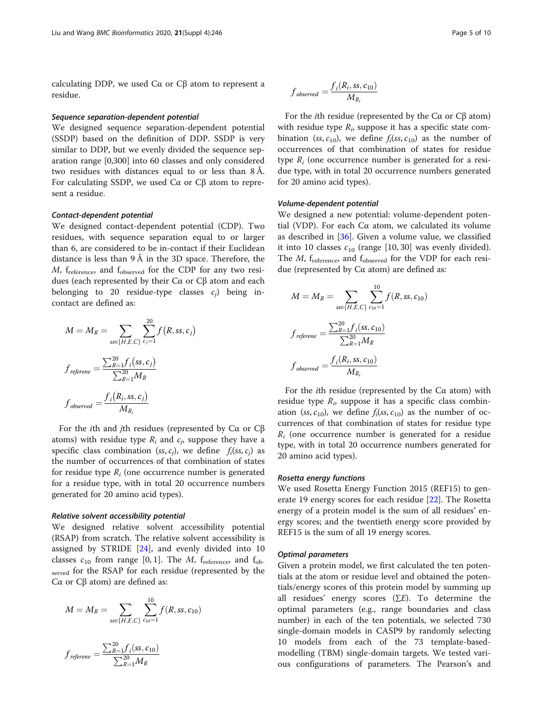calculating DDP, we used Cα or Cβ atom to represent a residue.

#### Sequence separation-dependent potential

We designed sequence separation-dependent potential (SSDP) based on the definition of DDP. SSDP is very similar to DDP, but we evenly divided the sequence separation range [0,300] into 60 classes and only considered two residues with distances equal to or less than 8 Å. For calculating SSDP, we used Cα or Cβ atom to represent a residue.

#### Contact-dependent potential

We designed contact-dependent potential (CDP). Two residues, with sequence separation equal to or larger than 6, are considered to be in-contact if their Euclidean distance is less than 9 Å in the 3D space. Therefore, the  $M$ ,  $f_{reference}$ , and  $f_{observed}$  for the CDP for any two residues (each represented by their Cα or Cβ atom and each belonging to 20 residue-type classes  $c_i$ ) being incontact are defined as:

$$
M = M_R = \sum_{ss \in \{H, E, C\}} \sum_{c_j=1}^{20} f(R, ss, c_j)
$$

$$
f_{reference} = \frac{\sum_{R=1}^{20} f_i(ss, c_j)}{\sum_{R=1}^{20} M_R}
$$

$$
f_{observed} = \frac{f_i(R_i, ss, c_j)}{M_{R_i}}
$$

For the *i*th and *j*th residues (represented by  $C\alpha$  or  $C\beta$ atoms) with residue type  $R_i$  and  $c_j$ , suppose they have a specific class combination (ss, c<sub>i</sub>), we define  $f_i(ss, c_i)$  as the number of occurrences of that combination of states for residue type  $R_i$  (one occurrence number is generated for a residue type, with in total 20 occurrence numbers generated for 20 amino acid types).

#### Relative solvent accessibility potential

We designed relative solvent accessibility potential (RSAP) from scratch. The relative solvent accessibility is assigned by STRIDE [[24\]](#page-9-0), and evenly divided into 10 classes  $c_{10}$  from range [0, 1]. The *M*,  $f_{reference}$ , and  $f_{ob}$ . served for the RSAP for each residue (represented by the Cα or Cβ atom) are defined as:

$$
M = M_R = \sum_{ss \in \{H,E,C\}} \sum_{c_{10}=1}^{10} f(R,ss,c_{10})
$$

$$
f_{reference} = \frac{\sum_{R=1}^{20} f_i(ss, c_{10})}{\sum_{R=1}^{20} M_R}
$$

$$
f_{observed} = \frac{f_i(R_i, ss, c_{10})}{M_{R_i}}
$$

For the *i*th residue (represented by the  $Cα$  or  $Cβ$  atom) with residue type  $R_i$ , suppose it has a specific state combination (ss,  $c_{10}$ ), we define  $f_i(ss, c_{10})$  as the number of occurrences of that combination of states for residue type  $R_i$  (one occurrence number is generated for a residue type, with in total 20 occurrence numbers generated for 20 amino acid types).

#### Volume-dependent potential

We designed a new potential: volume-dependent potential (VDP). For each  $Cα$  atom, we calculated its volume as described in [\[36\]](#page-9-0). Given a volume value, we classified it into 10 classes  $c_{10}$  (range [10, 30] was evenly divided). The  $M$ ,  $f_{reference}$ , and  $f_{observed}$  for the VDP for each residue (represented by Cα atom) are defined as:

$$
M = M_R = \sum_{\text{ss} \in \{H, E, C\}} \sum_{c_{10} = 1}^{10} f(R, \text{ss}, c_{10})
$$

$$
f_{\text{reference}} = \frac{\sum_{R=1}^{20} f_i(\text{ss}, c_{10})}{\sum_{R=1}^{20} M_R}
$$

$$
f_{\text{observed}} = \frac{f_i(R_i, \text{ss}, c_{10})}{M_{R_i}}
$$

For the *i*th residue (represented by the  $Ca$  atom) with residue type  $R_i$ , suppose it has a specific class combination (ss,  $c_{10}$ ), we define  $f_i(ss, c_{10})$  as the number of occurrences of that combination of states for residue type  $R_i$  (one occurrence number is generated for a residue type, with in total 20 occurrence numbers generated for 20 amino acid types).

#### Rosetta energy functions

We used Rosetta Energy Function 2015 (REF15) to generate 19 energy scores for each residue [[22\]](#page-8-0). The Rosetta energy of a protein model is the sum of all residues' energy scores; and the twentieth energy score provided by REF15 is the sum of all 19 energy scores.

#### Optimal parameters

Given a protein model, we first calculated the ten potentials at the atom or residue level and obtained the potentials/energy scores of this protein model by summing up all residues' energy scores  $(\Sigma E)$ . To determine the optimal parameters (e.g., range boundaries and class number) in each of the ten potentials, we selected 730 single-domain models in CASP9 by randomly selecting 10 models from each of the 73 template-basedmodelling (TBM) single-domain targets. We tested various configurations of parameters. The Pearson's and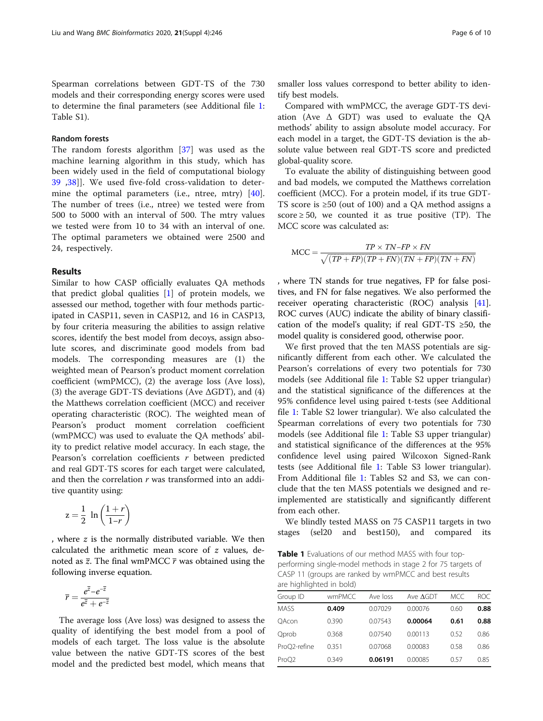<span id="page-5-0"></span>Spearman correlations between GDT-TS of the 730 models and their corresponding energy scores were used to determine the final parameters (see Additional file [1](#page-8-0): Table S1).

### Random forests

The random forests algorithm [\[37](#page-9-0)] was used as the machine learning algorithm in this study, which has been widely used in the field of computational biology [39](#page-9-0) ,[38](#page-9-0)]]. We used five-fold cross-validation to determine the optimal parameters (i.e., ntree, mtry) [[40](#page-9-0)]. The number of trees (i.e., ntree) we tested were from 500 to 5000 with an interval of 500. The mtry values we tested were from 10 to 34 with an interval of one. The optimal parameters we obtained were 2500 and 24, respectively.

### Results

Similar to how CASP officially evaluates QA methods that predict global qualities [[1\]](#page-8-0) of protein models, we assessed our method, together with four methods participated in CASP11, seven in CASP12, and 16 in CASP13, by four criteria measuring the abilities to assign relative scores, identify the best model from decoys, assign absolute scores, and discriminate good models from bad models. The corresponding measures are (1) the weighted mean of Pearson's product moment correlation coefficient (wmPMCC), (2) the average loss (Ave loss), (3) the average GDT-TS deviations (Ave ΔGDT), and (4) the Matthews correlation coefficient (MCC) and receiver operating characteristic (ROC). The weighted mean of Pearson's product moment correlation coefficient (wmPMCC) was used to evaluate the QA methods' ability to predict relative model accuracy. In each stage, the Pearson's correlation coefficients r between predicted and real GDT-TS scores for each target were calculated, and then the correlation r was transformed into an additive quantity using:

$$
z = \frac{1}{2} \ln \left( \frac{1+r}{1-r} \right)
$$

, where z is the normally distributed variable. We then calculated the arithmetic mean score of z values, denoted as  $\overline{z}$ . The final wmPMCC  $\overline{r}$  was obtained using the following inverse equation.

$$
\overline{r} = \frac{e^{\overline{z}} - e^{-\overline{z}}}{e^{\overline{z}} + e^{-\overline{z}}}
$$

The average loss (Ave loss) was designed to assess the quality of identifying the best model from a pool of models of each target. The loss value is the absolute value between the native GDT-TS scores of the best model and the predicted best model, which means that smaller loss values correspond to better ability to identify best models.

Compared with wmPMCC, the average GDT-TS deviation (Ave  $\Delta$  GDT) was used to evaluate the QA methods' ability to assign absolute model accuracy. For each model in a target, the GDT-TS deviation is the absolute value between real GDT-TS score and predicted global-quality score.

To evaluate the ability of distinguishing between good and bad models, we computed the Matthews correlation coefficient (MCC). For a protein model, if its true GDT-TS score is ≥50 (out of 100) and a QA method assigns a score  $\geq 50$ , we counted it as true positive (TP). The MCC score was calculated as:

$$
MCC = \frac{TP \times TN - FP \times FN}{\sqrt{(TP + FP)(TP + FN)(TN + FP)(TN + FN)}}
$$

, where TN stands for true negatives, FP for false positives, and FN for false negatives. We also performed the receiver operating characteristic (ROC) analysis [\[41](#page-9-0)]. ROC curves (AUC) indicate the ability of binary classification of the model's quality; if real GDT-TS  $\geq 50$ , the model quality is considered good, otherwise poor.

We first proved that the ten MASS potentials are significantly different from each other. We calculated the Pearson's correlations of every two potentials for 730 models (see Additional file [1](#page-8-0): Table S2 upper triangular) and the statistical significance of the differences at the 95% confidence level using paired t-tests (see Additional file [1](#page-8-0): Table S2 lower triangular). We also calculated the Spearman correlations of every two potentials for 730 models (see Additional file [1](#page-8-0): Table S3 upper triangular) and statistical significance of the differences at the 95% confidence level using paired Wilcoxon Signed-Rank tests (see Additional file [1](#page-8-0): Table S3 lower triangular). From Additional file [1:](#page-8-0) Tables S2 and S3, we can conclude that the ten MASS potentials we designed and reimplemented are statistically and significantly different from each other.

We blindly tested MASS on 75 CASP11 targets in two stages (sel20 and best150), and compared its

Table 1 Evaluations of our method MASS with four topperforming single-model methods in stage 2 for 75 targets of CASP 11 (groups are ranked by wmPMCC and best results are highlighted in bold)

| wmPMCC | Ave loss | Ave $\Delta$ GDT | MCC  | ROC. |
|--------|----------|------------------|------|------|
| 0.409  | 0.07029  | 0.00076          | 0.60 | 0.88 |
| 0.390  | 0.07543  | 0.00064          | 0.61 | 0.88 |
| 0.368  | 0.07540  | 0.00113          | 0.52 | 0.86 |
| 0.351  | 0.07068  | 0.00083          | 0.58 | 0.86 |
| 0.349  | 0.06191  | 0.00085          | 0.57 | 0.85 |
|        |          |                  |      |      |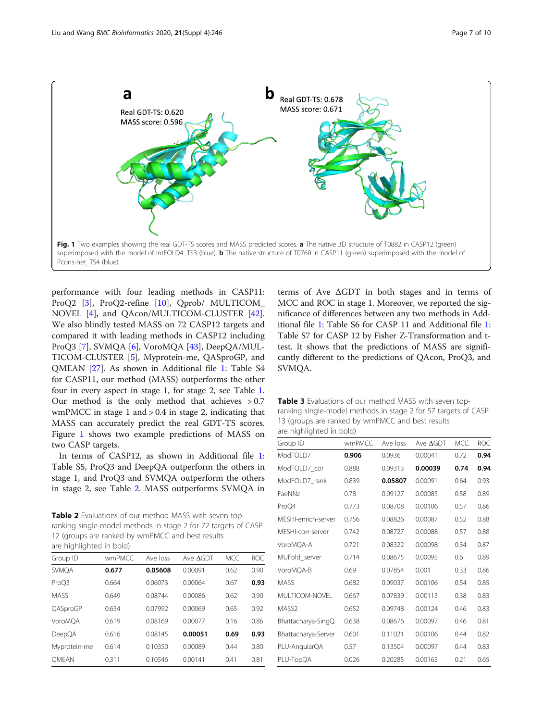

<span id="page-6-0"></span>

performance with four leading methods in CASP11: ProQ2 [\[3\]](#page-8-0), ProQ2-refine [[10\]](#page-8-0), Qprob/ MULTICOM\_ NOVEL [[4\]](#page-8-0), and QAcon/MULTICOM-CLUSTER [\[42](#page-9-0)]. We also blindly tested MASS on 72 CASP12 targets and compared it with leading methods in CASP12 including ProQ3 [[7\]](#page-8-0), SVMQA [\[6](#page-8-0)], VoroMQA [[43\]](#page-9-0), DeepQA/MUL-TICOM-CLUSTER [\[5](#page-8-0)], Myprotein-me, QASproGP, and QMEAN [[27\]](#page-9-0). As shown in Additional file [1](#page-8-0): Table S4 for CASP11, our method (MASS) outperforms the other four in every aspect in stage 1, for stage 2, see Table [1.](#page-5-0) Our method is the only method that achieves > 0.7 wmPMCC in stage 1 and > 0.4 in stage 2, indicating that MASS can accurately predict the real GDT-TS scores. Figure 1 shows two example predictions of MASS on two CASP targets.

In terms of CASP12, as shown in Additional file [1](#page-8-0): Table S5, ProQ3 and DeepQA outperform the others in stage 1, and ProQ3 and SVMQA outperform the others in stage 2, see Table 2. MASS outperforms SVMQA in

Table 2 Evaluations of our method MASS with seven topranking single-model methods in stage 2 for 72 targets of CASP 12 (groups are ranked by wmPMCC and best results are highlighted in bold)

| Group ID     | wmPMCC | Ave loss | Ave AGDT | <b>MCC</b> | <b>ROC</b> |
|--------------|--------|----------|----------|------------|------------|
| <b>SVMOA</b> | 0.677  | 0.05608  | 0.00091  | 0.62       | 0.90       |
| ProO3        | 0.664  | 0.06073  | 0.00064  | 0.67       | 0.93       |
| <b>MASS</b>  | 0.649  | 0.08744  | 0.00086  | 0.62       | 0.90       |
| QASproGP     | 0.634  | 0.07992  | 0.00069  | 0.65       | 0.92       |
| VoroMOA      | 0.619  | 0.08169  | 0.00077  | 0.16       | 0.86       |
| DeepQA       | 0.616  | 0.08145  | 0.00051  | 0.69       | 0.93       |
| Myprotein-me | 0.614  | 0.10350  | 0.00089  | 0.44       | 0.80       |
| <b>OMEAN</b> | 0.311  | 0.10546  | 0.00141  | 0.41       | 0.81       |
|              |        |          |          |            |            |

terms of Ave ΔGDT in both stages and in terms of MCC and ROC in stage 1. Moreover, we reported the significance of differences between any two methods in Additional file [1](#page-8-0): Table S6 for CASP 11 and Additional file [1](#page-8-0): Table S7 for CASP 12 by Fisher Z-Transformation and ttest. It shows that the predictions of MASS are significantly different to the predictions of QAcon, ProQ3, and SVMQA.

| <b>Table 3</b> Evaluations of our method MASS with seven top-  |
|----------------------------------------------------------------|
| ranking single-model methods in stage 2 for 57 targets of CASP |
| 13 (groups are ranked by wmPMCC and best results               |
| are highlighted in bold)                                       |

| wmPMCC | Ave loss | Ave AGDT | <b>MCC</b> | <b>ROC</b> |
|--------|----------|----------|------------|------------|
| 0.906  | 0.0936   | 0.00041  | 0.72       | 0.94       |
| 0.888  | 0.09313  | 0.00039  | 0.74       | 0.94       |
| 0.839  | 0.05807  | 0.00091  | 0.64       | 0.93       |
| 0.78   | 0.09127  | 0.00083  | 0.58       | 0.89       |
| 0.773  | 0.08708  | 0.00106  | 0.57       | 0.86       |
| 0.756  | 0.08826  | 0.00087  | 0.52       | 0.88       |
| 0.742  | 0.08727  | 0.00088  | 0.57       | 0.88       |
| 0.721  | 0.08322  | 0.00098  | 0.34       | 0.87       |
| 0.714  | 0.08675  | 0.00095  | 0.6        | 0.89       |
| 0.69   | 0.07854  | 0.001    | 0.33       | 0.86       |
| 0.682  | 0.09037  | 0.00106  | 0.54       | 0.85       |
| 0.667  | 0.07839  | 0.00113  | 0.38       | 0.83       |
| 0.652  | 0.09748  | 0.00124  | 0.46       | 0.83       |
| 0.638  | 0.08676  | 0.00097  | 0.46       | 0.81       |
| 0.601  | 0.11021  | 0.00106  | 0.44       | 0.82       |
| 0.57   | 0.13504  | 0.00097  | 0.44       | 0.83       |
| 0.026  | 0.20285  | 0.00165  | 0.21       | 0.65       |
|        |          |          |            |            |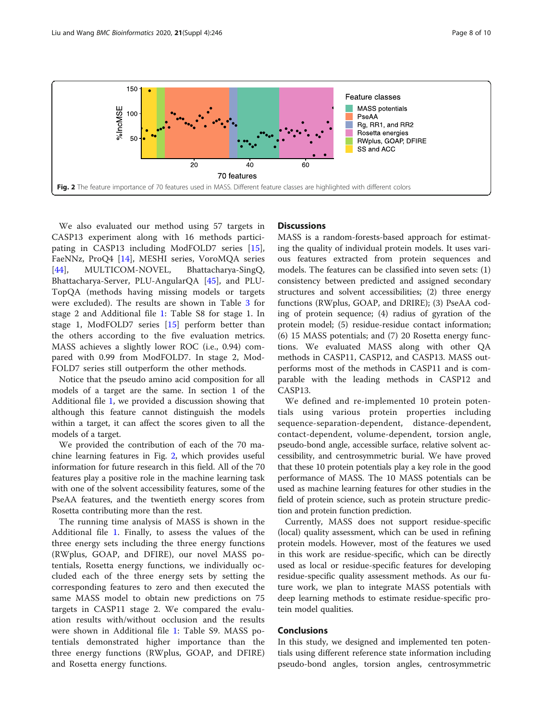

We also evaluated our method using 57 targets in CASP13 experiment along with 16 methods participating in CASP13 including ModFOLD7 series [\[15](#page-8-0)], FaeNNz, ProQ4 [\[14](#page-8-0)], MESHI series, VoroMQA series [[44\]](#page-9-0), MULTICOM-NOVEL, Bhattacharya-SingQ, Bhattacharya-Server, PLU-AngularQA [\[45](#page-9-0)], and PLU-TopQA (methods having missing models or targets were excluded). The results are shown in Table [3](#page-6-0) for stage 2 and Additional file [1:](#page-8-0) Table S8 for stage 1. In stage 1, ModFOLD7 series [[15\]](#page-8-0) perform better than the others according to the five evaluation metrics. MASS achieves a slightly lower ROC (i.e., 0.94) compared with 0.99 from ModFOLD7. In stage 2, Mod-FOLD7 series still outperform the other methods.

Notice that the pseudo amino acid composition for all models of a target are the same. In section 1 of the Additional file [1](#page-8-0), we provided a discussion showing that although this feature cannot distinguish the models within a target, it can affect the scores given to all the models of a target.

We provided the contribution of each of the 70 machine learning features in Fig. 2, which provides useful information for future research in this field. All of the 70 features play a positive role in the machine learning task with one of the solvent accessibility features, some of the PseAA features, and the twentieth energy scores from Rosetta contributing more than the rest.

The running time analysis of MASS is shown in the Additional file [1.](#page-8-0) Finally, to assess the values of the three energy sets including the three energy functions (RWplus, GOAP, and DFIRE), our novel MASS potentials, Rosetta energy functions, we individually occluded each of the three energy sets by setting the corresponding features to zero and then executed the same MASS model to obtain new predictions on 75 targets in CASP11 stage 2. We compared the evaluation results with/without occlusion and the results were shown in Additional file [1:](#page-8-0) Table S9. MASS potentials demonstrated higher importance than the three energy functions (RWplus, GOAP, and DFIRE) and Rosetta energy functions.

### **Discussions**

MASS is a random-forests-based approach for estimating the quality of individual protein models. It uses various features extracted from protein sequences and models. The features can be classified into seven sets: (1) consistency between predicted and assigned secondary structures and solvent accessibilities; (2) three energy functions (RWplus, GOAP, and DRIRE); (3) PseAA coding of protein sequence; (4) radius of gyration of the protein model; (5) residue-residue contact information; (6) 15 MASS potentials; and (7) 20 Rosetta energy functions. We evaluated MASS along with other QA methods in CASP11, CASP12, and CASP13. MASS outperforms most of the methods in CASP11 and is comparable with the leading methods in CASP12 and CASP13.

We defined and re-implemented 10 protein potentials using various protein properties including sequence-separation-dependent, distance-dependent, contact-dependent, volume-dependent, torsion angle, pseudo-bond angle, accessible surface, relative solvent accessibility, and centrosymmetric burial. We have proved that these 10 protein potentials play a key role in the good performance of MASS. The 10 MASS potentials can be used as machine learning features for other studies in the field of protein science, such as protein structure prediction and protein function prediction.

Currently, MASS does not support residue-specific (local) quality assessment, which can be used in refining protein models. However, most of the features we used in this work are residue-specific, which can be directly used as local or residue-specific features for developing residue-specific quality assessment methods. As our future work, we plan to integrate MASS potentials with deep learning methods to estimate residue-specific protein model qualities.

# Conclusions

In this study, we designed and implemented ten potentials using different reference state information including pseudo-bond angles, torsion angles, centrosymmetric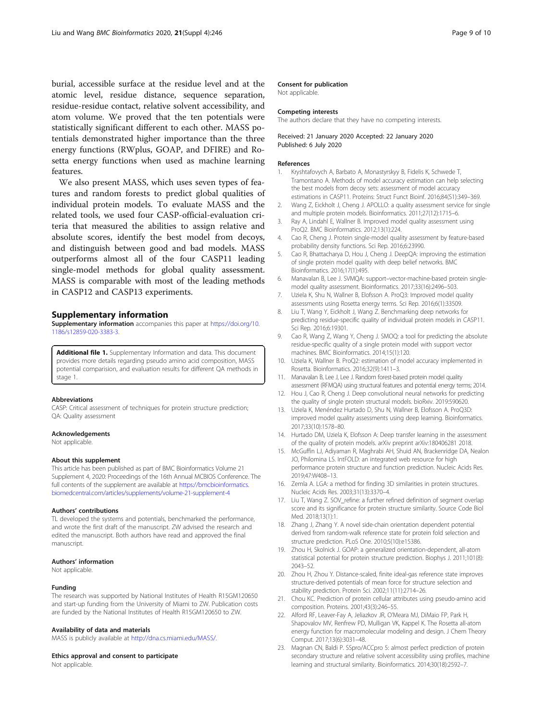<span id="page-8-0"></span>burial, accessible surface at the residue level and at the atomic level, residue distance, sequence separation, residue-residue contact, relative solvent accessibility, and atom volume. We proved that the ten potentials were statistically significant different to each other. MASS potentials demonstrated higher importance than the three energy functions (RWplus, GOAP, and DFIRE) and Rosetta energy functions when used as machine learning features.

We also present MASS, which uses seven types of features and random forests to predict global qualities of individual protein models. To evaluate MASS and the related tools, we used four CASP-official-evaluation criteria that measured the abilities to assign relative and absolute scores, identify the best model from decoys, and distinguish between good and bad models. MASS outperforms almost all of the four CASP11 leading single-model methods for global quality assessment. MASS is comparable with most of the leading methods in CASP12 and CASP13 experiments.

#### Supplementary information

Supplementary information accompanies this paper at [https://doi.org/10.](https://doi.org/10.1186/s12859-020-3383-3) [1186/s12859-020-3383-3.](https://doi.org/10.1186/s12859-020-3383-3)

Additional file 1. Supplementary Information and data. This document provides more details regarding pseudo amino acid composition, MASS potential comparision, and evaluation results for different QA methods in stage 1.

#### Abbreviations

CASP: Critical assessment of techniques for protein structure prediction; QA: Quality assessment

#### Acknowledgements

Not applicable.

#### About this supplement

This article has been published as part of BMC Bioinformatics Volume 21 Supplement 4, 2020: Proceedings of the 16th Annual MCBIOS Conference. The full contents of the supplement are available at [https://bmcbioinformatics.](https://bmcbioinformatics.biomedcentral.com/articles/supplements/volume-21-supplement-4) [biomedcentral.com/articles/supplements/volume-21-supplement-4](https://bmcbioinformatics.biomedcentral.com/articles/supplements/volume-21-supplement-4)

#### Authors' contributions

TL developed the systems and potentials, benchmarked the performance, and wrote the first draft of the manuscript. ZW advised the research and edited the manuscript. Both authors have read and approved the final manuscript.

#### Authors' information

Not applicable.

#### Funding

The research was supported by National Institutes of Health R15GM120650 and start-up funding from the University of Miami to ZW. Publication costs are funded by the National Institutes of Health R15GM120650 to ZW.

#### Availability of data and materials

MASS is publicly available at [http://dna.cs.miami.edu/MASS/.](http://dna.cs.miami.edu/MASS/)

#### Ethics approval and consent to participate

Not applicable.

#### Consent for publication

Not applicable.

#### Competing interests

The authors declare that they have no competing interests.

#### Received: 21 January 2020 Accepted: 22 January 2020 Published: 6 July 2020

#### References

- Kryshtafovych A, Barbato A, Monastyrskyy B, Fidelis K, Schwede T, Tramontano A. Methods of model accuracy estimation can help selecting the best models from decoy sets: assessment of model accuracy estimations in CASP11. Proteins: Struct Funct Bioinf. 2016;84(S1):349–369.
- 2. Wang Z, Eickholt J, Cheng J. APOLLO: a quality assessment service for single and multiple protein models. Bioinformatics. 2011;27(12):1715–6.
- 3. Ray A, Lindahl E, Wallner B. Improved model quality assessment using ProQ2. BMC Bioinformatics. 2012;13(1):224.
- 4. Cao R, Cheng J. Protein single-model quality assessment by feature-based probability density functions. Sci Rep. 2016;6:23990.
- 5. Cao R, Bhattacharya D, Hou J, Cheng J. DeepQA: improving the estimation of single protein model quality with deep belief networks. BMC Bioinformatics. 2016;17(1):495.
- 6. Manavalan B, Lee J. SVMQA: support–vector-machine-based protein singlemodel quality assessment. Bioinformatics. 2017;33(16):2496–503.
- 7. Uziela K, Shu N, Wallner B, Elofsson A. ProQ3: Improved model quality assessments using Rosetta energy terms. Sci Rep. 2016;6(1):33509.
- 8. Liu T, Wang Y, Eickholt J, Wang Z. Benchmarking deep networks for predicting residue-specific quality of individual protein models in CASP11. Sci Rep. 2016;6:19301.
- 9. Cao R, Wang Z, Wang Y, Cheng J. SMOQ: a tool for predicting the absolute residue-specific quality of a single protein model with support vector machines. BMC Bioinformatics. 2014;15(1):120.
- 10. Uziela K, Wallner B. ProQ2: estimation of model accuracy implemented in Rosetta. Bioinformatics. 2016;32(9):1411–3.
- 11. Manavalan B, Lee J, Lee J. Random forest-based protein model quality assessment (RFMQA) using structural features and potential energy terms; 2014.
- 12. Hou J, Cao R, Cheng J. Deep convolutional neural networks for predicting the quality of single protein structural models. bioRxiv. 2019:590620.
- 13. Uziela K, Menéndez Hurtado D, Shu N, Wallner B, Elofsson A. ProQ3D: improved model quality assessments using deep learning. Bioinformatics. 2017;33(10):1578–80.
- 14. Hurtado DM, Uziela K, Elofsson A: Deep transfer learning in the assessment of the quality of protein models. arXiv preprint arXiv:180406281 2018.
- 15. McGuffin LJ, Adiyaman R, Maghrabi AH, Shuid AN, Brackenridge DA, Nealon JO, Philomina LS. IntFOLD: an integrated web resource for high performance protein structure and function prediction. Nucleic Acids Res. 2019;47:W408–13.
- 16. Zemla A. LGA: a method for finding 3D similarities in protein structures. Nucleic Acids Res. 2003;31(13):3370–4.
- 17. Liu T, Wang Z. SOV refine: a further refined definition of segment overlap score and its significance for protein structure similarity. Source Code Biol Med. 2018;13(1):1.
- 18. Zhang J, Zhang Y. A novel side-chain orientation dependent potential derived from random-walk reference state for protein fold selection and structure prediction. PLoS One. 2010;5(10):e15386.
- 19. Zhou H, Skolnick J. GOAP: a generalized orientation-dependent, all-atom statistical potential for protein structure prediction. Biophys J. 2011;101(8): 2043–52.
- 20. Zhou H, Zhou Y. Distance-scaled, finite ideal-gas reference state improves structure-derived potentials of mean force for structure selection and stability prediction. Protein Sci. 2002;11(11):2714–26.
- 21. Chou KC. Prediction of protein cellular attributes using pseudo-amino acid composition. Proteins. 2001;43(3):246–55.
- 22. Alford RF, Leaver-Fay A, Jeliazkov JR, O'Meara MJ, DiMaio FP, Park H, Shapovalov MV, Renfrew PD, Mulligan VK, Kappel K. The Rosetta all-atom energy function for macromolecular modeling and design. J Chem Theory Comput. 2017;13(6):3031–48.
- 23. Magnan CN, Baldi P. SSpro/ACCpro 5: almost perfect prediction of protein secondary structure and relative solvent accessibility using profiles, machine learning and structural similarity. Bioinformatics. 2014;30(18):2592–7.